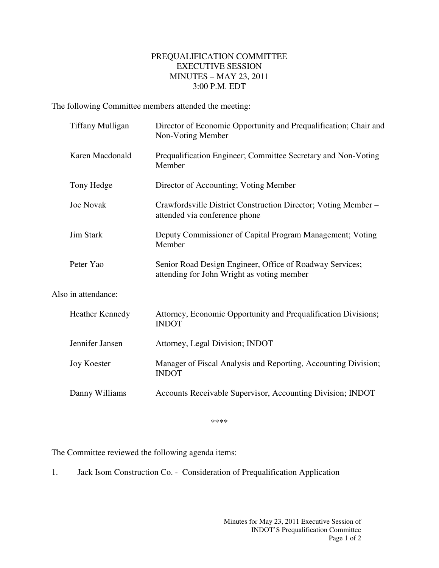## PREQUALIFICATION COMMITTEE EXECUTIVE SESSION MINUTES – MAY 23, 2011 3:00 P.M. EDT

The following Committee members attended the meeting:

| <b>Tiffany Mulligan</b> | Director of Economic Opportunity and Prequalification; Chair and<br>Non-Voting Member                  |
|-------------------------|--------------------------------------------------------------------------------------------------------|
| Karen Macdonald         | Prequalification Engineer; Committee Secretary and Non-Voting<br>Member                                |
| Tony Hedge              | Director of Accounting; Voting Member                                                                  |
| <b>Joe Novak</b>        | Crawfordsville District Construction Director; Voting Member -<br>attended via conference phone        |
| <b>Jim Stark</b>        | Deputy Commissioner of Capital Program Management; Voting<br>Member                                    |
| Peter Yao               | Senior Road Design Engineer, Office of Roadway Services;<br>attending for John Wright as voting member |
| Also in attendance:     |                                                                                                        |
| <b>Heather Kennedy</b>  | Attorney, Economic Opportunity and Prequalification Divisions;<br><b>INDOT</b>                         |
| Jennifer Jansen         | Attorney, Legal Division; INDOT                                                                        |
| <b>Joy Koester</b>      | Manager of Fiscal Analysis and Reporting, Accounting Division;<br><b>INDOT</b>                         |
| Danny Williams          | Accounts Receivable Supervisor, Accounting Division; INDOT                                             |

\*\*\*\*

The Committee reviewed the following agenda items:

1. Jack Isom Construction Co. - Consideration of Prequalification Application